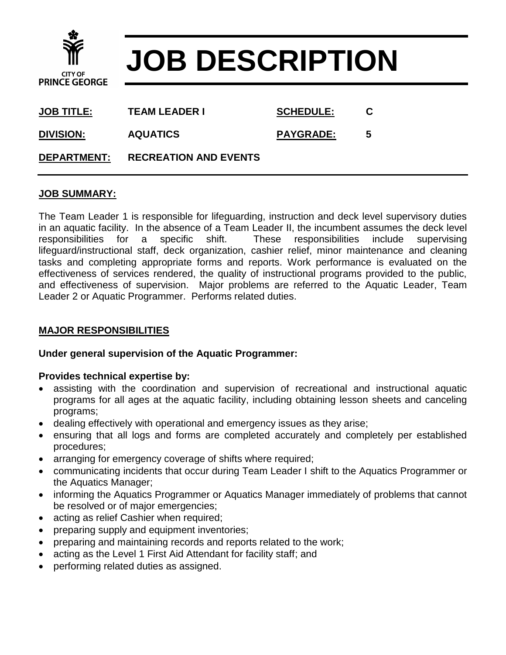

# **JOB DESCRIPTION**

| <u>JOB TITLE:</u>  | <b>TEAM LEADER I</b>         | <b>SCHEDULE:</b> | C |  |
|--------------------|------------------------------|------------------|---|--|
| <b>DIVISION:</b>   | <b>AQUATICS</b>              | <b>PAYGRADE:</b> | 5 |  |
| <b>DEPARTMENT:</b> | <b>RECREATION AND EVENTS</b> |                  |   |  |

#### **JOB SUMMARY:**

The Team Leader 1 is responsible for lifeguarding, instruction and deck level supervisory duties in an aquatic facility. In the absence of a Team Leader II, the incumbent assumes the deck level responsibilities for a specific shift. These responsibilities include supervising lifeguard/instructional staff, deck organization, cashier relief, minor maintenance and cleaning tasks and completing appropriate forms and reports. Work performance is evaluated on the effectiveness of services rendered, the quality of instructional programs provided to the public, and effectiveness of supervision. Major problems are referred to the Aquatic Leader, Team Leader 2 or Aquatic Programmer. Performs related duties.

### **MAJOR RESPONSIBILITIES**

#### **Under general supervision of the Aquatic Programmer:**

#### **Provides technical expertise by:**

- assisting with the coordination and supervision of recreational and instructional aquatic programs for all ages at the aquatic facility, including obtaining lesson sheets and canceling programs;
- dealing effectively with operational and emergency issues as they arise;
- ensuring that all logs and forms are completed accurately and completely per established procedures;
- arranging for emergency coverage of shifts where required;
- communicating incidents that occur during Team Leader I shift to the Aquatics Programmer or the Aquatics Manager;
- informing the Aquatics Programmer or Aquatics Manager immediately of problems that cannot be resolved or of major emergencies;
- acting as relief Cashier when required;
- preparing supply and equipment inventories;
- preparing and maintaining records and reports related to the work;
- acting as the Level 1 First Aid Attendant for facility staff; and
- performing related duties as assigned.